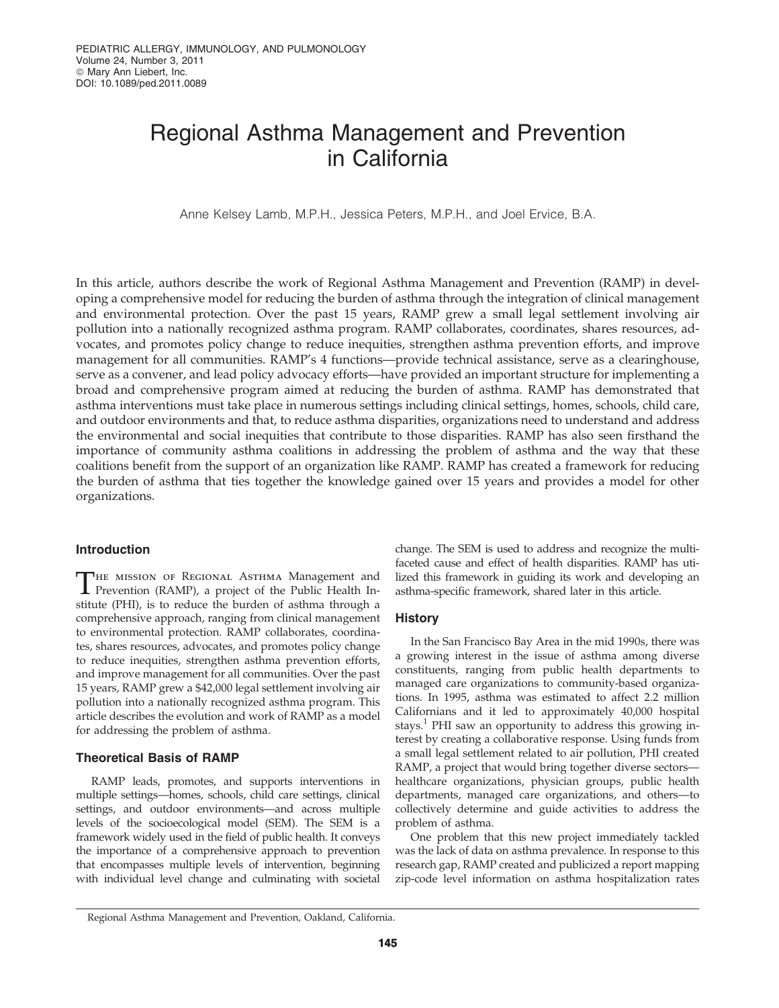# Regional Asthma Management and Prevention in California

Anne Kelsey Lamb, M.P.H., Jessica Peters, M.P.H., and Joel Ervice, B.A.

In this article, authors describe the work of Regional Asthma Management and Prevention (RAMP) in developing a comprehensive model for reducing the burden of asthma through the integration of clinical management and environmental protection. Over the past 15 years, RAMP grew a small legal settlement involving air pollution into a nationally recognized asthma program. RAMP collaborates, coordinates, shares resources, advocates, and promotes policy change to reduce inequities, strengthen asthma prevention efforts, and improve management for all communities. RAMP's 4 functions—provide technical assistance, serve as a clearinghouse, serve as a convener, and lead policy advocacy efforts—have provided an important structure for implementing a broad and comprehensive program aimed at reducing the burden of asthma. RAMP has demonstrated that asthma interventions must take place in numerous settings including clinical settings, homes, schools, child care, and outdoor environments and that, to reduce asthma disparities, organizations need to understand and address the environmental and social inequities that contribute to those disparities. RAMP has also seen firsthand the importance of community asthma coalitions in addressing the problem of asthma and the way that these coalitions benefit from the support of an organization like RAMP. RAMP has created a framework for reducing the burden of asthma that ties together the knowledge gained over 15 years and provides a model for other organizations.

# Introduction

THE MISSION OF REGIONAL ASTHMA Management and<br>Prevention (RAMP), a project of the Public Health Institute (PHI), is to reduce the burden of asthma through a comprehensive approach, ranging from clinical management to environmental protection. RAMP collaborates, coordinates, shares resources, advocates, and promotes policy change to reduce inequities, strengthen asthma prevention efforts, and improve management for all communities. Over the past 15 years, RAMP grew a \$42,000 legal settlement involving air pollution into a nationally recognized asthma program. This article describes the evolution and work of RAMP as a model for addressing the problem of asthma.

# Theoretical Basis of RAMP

RAMP leads, promotes, and supports interventions in multiple settings—homes, schools, child care settings, clinical settings, and outdoor environments—and across multiple levels of the socioecological model (SEM). The SEM is a framework widely used in the field of public health. It conveys the importance of a comprehensive approach to prevention that encompasses multiple levels of intervention, beginning with individual level change and culminating with societal

change. The SEM is used to address and recognize the multifaceted cause and effect of health disparities. RAMP has utilized this framework in guiding its work and developing an asthma-specific framework, shared later in this article.

#### **History**

In the San Francisco Bay Area in the mid 1990s, there was a growing interest in the issue of asthma among diverse constituents, ranging from public health departments to managed care organizations to community-based organizations. In 1995, asthma was estimated to affect 2.2 million Californians and it led to approximately 40,000 hospital stays.<sup>1</sup> PHI saw an opportunity to address this growing interest by creating a collaborative response. Using funds from a small legal settlement related to air pollution, PHI created RAMP, a project that would bring together diverse sectors healthcare organizations, physician groups, public health departments, managed care organizations, and others—to collectively determine and guide activities to address the problem of asthma.

One problem that this new project immediately tackled was the lack of data on asthma prevalence. In response to this research gap, RAMP created and publicized a report mapping zip-code level information on asthma hospitalization rates

Regional Asthma Management and Prevention, Oakland, California.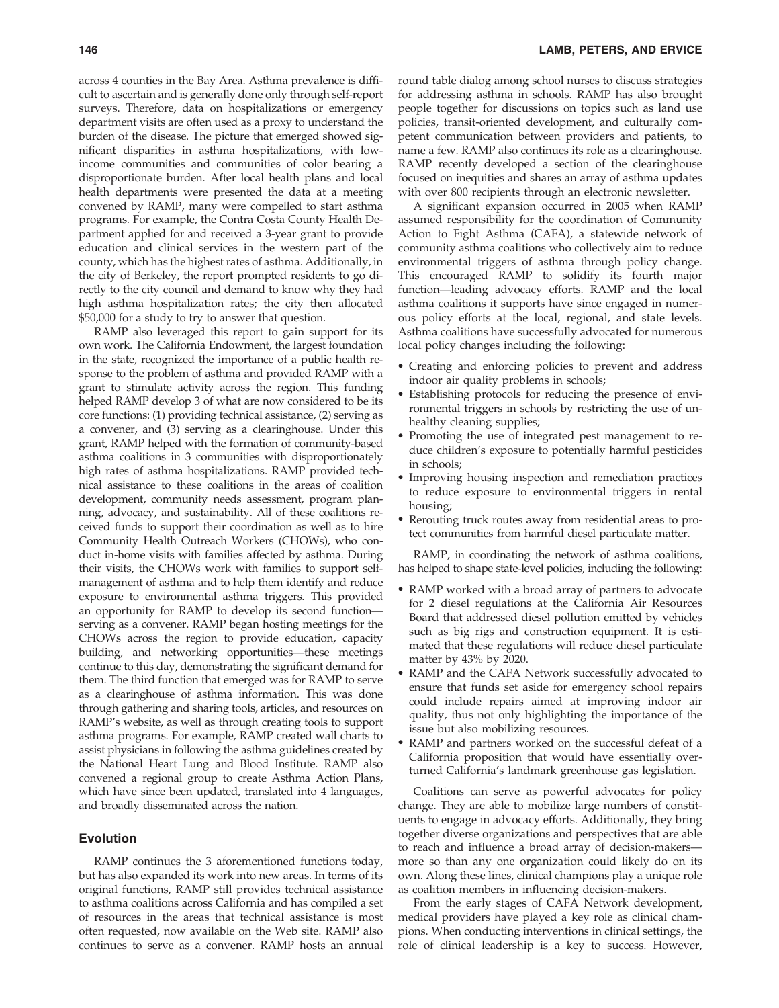across 4 counties in the Bay Area. Asthma prevalence is difficult to ascertain and is generally done only through self-report surveys. Therefore, data on hospitalizations or emergency department visits are often used as a proxy to understand the burden of the disease. The picture that emerged showed significant disparities in asthma hospitalizations, with lowincome communities and communities of color bearing a disproportionate burden. After local health plans and local health departments were presented the data at a meeting convened by RAMP, many were compelled to start asthma programs. For example, the Contra Costa County Health Department applied for and received a 3-year grant to provide education and clinical services in the western part of the county, which has the highest rates of asthma. Additionally, in the city of Berkeley, the report prompted residents to go directly to the city council and demand to know why they had high asthma hospitalization rates; the city then allocated \$50,000 for a study to try to answer that question.

RAMP also leveraged this report to gain support for its own work. The California Endowment, the largest foundation in the state, recognized the importance of a public health response to the problem of asthma and provided RAMP with a grant to stimulate activity across the region. This funding helped RAMP develop 3 of what are now considered to be its core functions: (1) providing technical assistance, (2) serving as a convener, and (3) serving as a clearinghouse. Under this grant, RAMP helped with the formation of community-based asthma coalitions in 3 communities with disproportionately high rates of asthma hospitalizations. RAMP provided technical assistance to these coalitions in the areas of coalition development, community needs assessment, program planning, advocacy, and sustainability. All of these coalitions received funds to support their coordination as well as to hire Community Health Outreach Workers (CHOWs), who conduct in-home visits with families affected by asthma. During their visits, the CHOWs work with families to support selfmanagement of asthma and to help them identify and reduce exposure to environmental asthma triggers. This provided an opportunity for RAMP to develop its second function serving as a convener. RAMP began hosting meetings for the CHOWs across the region to provide education, capacity building, and networking opportunities—these meetings continue to this day, demonstrating the significant demand for them. The third function that emerged was for RAMP to serve as a clearinghouse of asthma information. This was done through gathering and sharing tools, articles, and resources on RAMP's website, as well as through creating tools to support asthma programs. For example, RAMP created wall charts to assist physicians in following the asthma guidelines created by the National Heart Lung and Blood Institute. RAMP also convened a regional group to create Asthma Action Plans, which have since been updated, translated into 4 languages, and broadly disseminated across the nation.

# Evolution

RAMP continues the 3 aforementioned functions today, but has also expanded its work into new areas. In terms of its original functions, RAMP still provides technical assistance to asthma coalitions across California and has compiled a set of resources in the areas that technical assistance is most often requested, now available on the Web site. RAMP also continues to serve as a convener. RAMP hosts an annual round table dialog among school nurses to discuss strategies for addressing asthma in schools. RAMP has also brought people together for discussions on topics such as land use policies, transit-oriented development, and culturally competent communication between providers and patients, to name a few. RAMP also continues its role as a clearinghouse. RAMP recently developed a section of the clearinghouse focused on inequities and shares an array of asthma updates with over 800 recipients through an electronic newsletter.

A significant expansion occurred in 2005 when RAMP assumed responsibility for the coordination of Community Action to Fight Asthma (CAFA), a statewide network of community asthma coalitions who collectively aim to reduce environmental triggers of asthma through policy change. This encouraged RAMP to solidify its fourth major function—leading advocacy efforts. RAMP and the local asthma coalitions it supports have since engaged in numerous policy efforts at the local, regional, and state levels. Asthma coalitions have successfully advocated for numerous local policy changes including the following:

- Creating and enforcing policies to prevent and address indoor air quality problems in schools;
- Establishing protocols for reducing the presence of environmental triggers in schools by restricting the use of unhealthy cleaning supplies;
- Promoting the use of integrated pest management to reduce children's exposure to potentially harmful pesticides in schools;
- Improving housing inspection and remediation practices to reduce exposure to environmental triggers in rental housing;
- Rerouting truck routes away from residential areas to protect communities from harmful diesel particulate matter.

RAMP, in coordinating the network of asthma coalitions, has helped to shape state-level policies, including the following:

- RAMP worked with a broad array of partners to advocate for 2 diesel regulations at the California Air Resources Board that addressed diesel pollution emitted by vehicles such as big rigs and construction equipment. It is estimated that these regulations will reduce diesel particulate matter by 43% by 2020.
- RAMP and the CAFA Network successfully advocated to ensure that funds set aside for emergency school repairs could include repairs aimed at improving indoor air quality, thus not only highlighting the importance of the issue but also mobilizing resources.
- RAMP and partners worked on the successful defeat of a California proposition that would have essentially overturned California's landmark greenhouse gas legislation.

Coalitions can serve as powerful advocates for policy change. They are able to mobilize large numbers of constituents to engage in advocacy efforts. Additionally, they bring together diverse organizations and perspectives that are able to reach and influence a broad array of decision-makers more so than any one organization could likely do on its own. Along these lines, clinical champions play a unique role as coalition members in influencing decision-makers.

From the early stages of CAFA Network development, medical providers have played a key role as clinical champions. When conducting interventions in clinical settings, the role of clinical leadership is a key to success. However,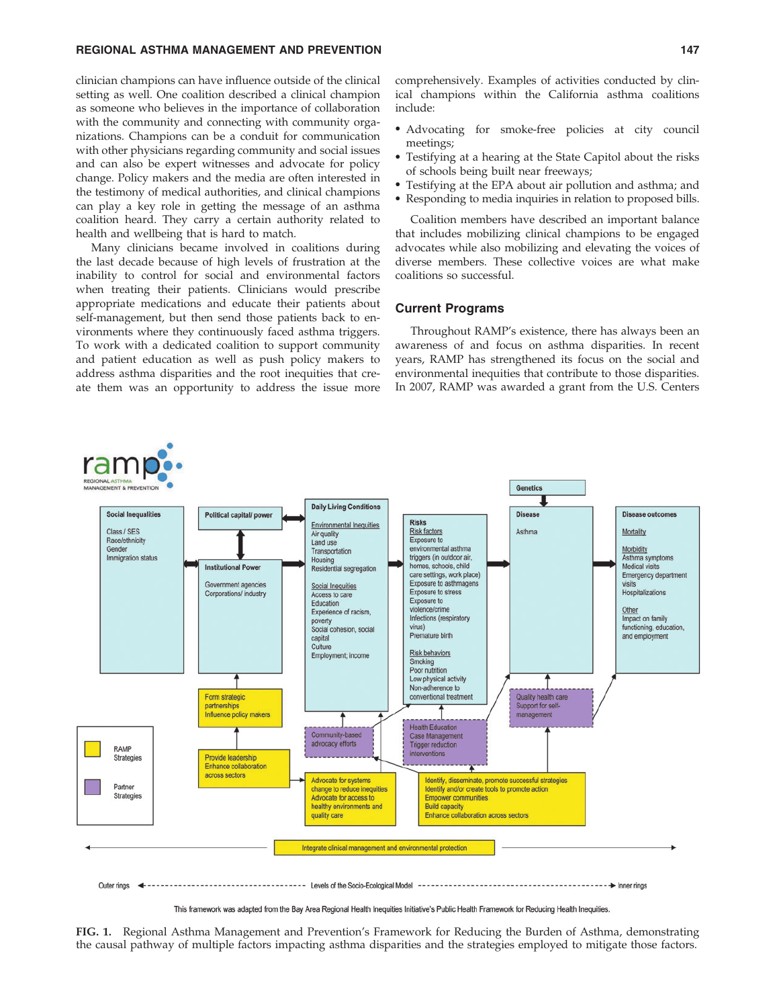# REGIONAL ASTHMA MANAGEMENT AND PREVENTION 147

clinician champions can have influence outside of the clinical setting as well. One coalition described a clinical champion as someone who believes in the importance of collaboration with the community and connecting with community organizations. Champions can be a conduit for communication with other physicians regarding community and social issues and can also be expert witnesses and advocate for policy change. Policy makers and the media are often interested in the testimony of medical authorities, and clinical champions can play a key role in getting the message of an asthma coalition heard. They carry a certain authority related to health and wellbeing that is hard to match.

Many clinicians became involved in coalitions during the last decade because of high levels of frustration at the inability to control for social and environmental factors when treating their patients. Clinicians would prescribe appropriate medications and educate their patients about self-management, but then send those patients back to environments where they continuously faced asthma triggers. To work with a dedicated coalition to support community and patient education as well as push policy makers to address asthma disparities and the root inequities that create them was an opportunity to address the issue more comprehensively. Examples of activities conducted by clinical champions within the California asthma coalitions include:

- Advocating for smoke-free policies at city council meetings;
- Testifying at a hearing at the State Capitol about the risks of schools being built near freeways;
- Testifying at the EPA about air pollution and asthma; and
- Responding to media inquiries in relation to proposed bills.

Coalition members have described an important balance that includes mobilizing clinical champions to be engaged advocates while also mobilizing and elevating the voices of diverse members. These collective voices are what make coalitions so successful.

#### Current Programs

Throughout RAMP's existence, there has always been an awareness of and focus on asthma disparities. In recent years, RAMP has strengthened its focus on the social and environmental inequities that contribute to those disparities. In 2007, RAMP was awarded a grant from the U.S. Centers



This framework was adapted from the Bay Area Regional Health Inequities Initiative's Public Health Framework for Reducing Health Inequities.

FIG. 1. Regional Asthma Management and Prevention's Framework for Reducing the Burden of Asthma, demonstrating the causal pathway of multiple factors impacting asthma disparities and the strategies employed to mitigate those factors.